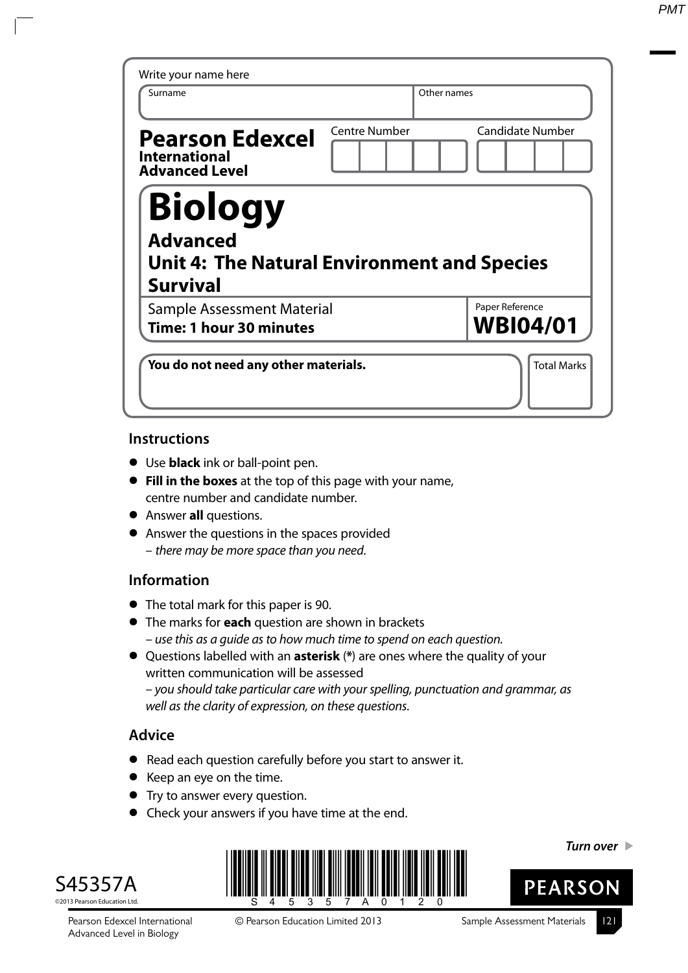| Write your name here<br>Surname                                                                            |                      | Other names                        |
|------------------------------------------------------------------------------------------------------------|----------------------|------------------------------------|
| <b>Pearson Edexcel</b><br><b>International</b><br><b>Advanced Level</b>                                    | <b>Centre Number</b> | <b>Candidate Number</b>            |
| <b>Biology</b><br><b>Advanced</b><br><b>Unit 4: The Natural Environment and Species</b><br><b>Survival</b> |                      |                                    |
| <b>Sample Assessment Material</b><br>Time: 1 hour 30 minutes                                               |                      | Paper Reference<br><b>WBI04/01</b> |
| You do not need any other materials.                                                                       |                      | <b>Total Marks</b>                 |

#### **Instructions**

- **t** Use **black** ink or ball-point pen.
- **t Fill in the boxes** at the top of this page with your name, centre number and candidate number.
- **•** Answer **all** questions.
- **•** Answer the questions in the spaces provided – there may be more space than you need.

# **Information**

- **•** The total mark for this paper is 90.
- **t** The marks for **each** question are shown in brackets – use this as a guide as to how much time to spend on each question.
- **t** Questions labelled with an **asterisk** (**\***) are ones where the quality of your written communication will be assessed – you should take particular care with your spelling, punctuation and grammar, as well as the clarity of expression, on these questions.

# **Advice**

- **t** Read each question carefully before you start to answer it.
- **t** Keep an eye on the time.
- **•** Try to answer every question.
- **t** Check your answers if you have time at the end.



**Turn over** 

**PEARSON** 

©2013 Pearson Education Ltd.

S45357A

Advanced Level in Biology

Pearson Edexcel International  $\bullet$  Pearson Education Limited 2013 Sample Assessment Materials

 $|2|$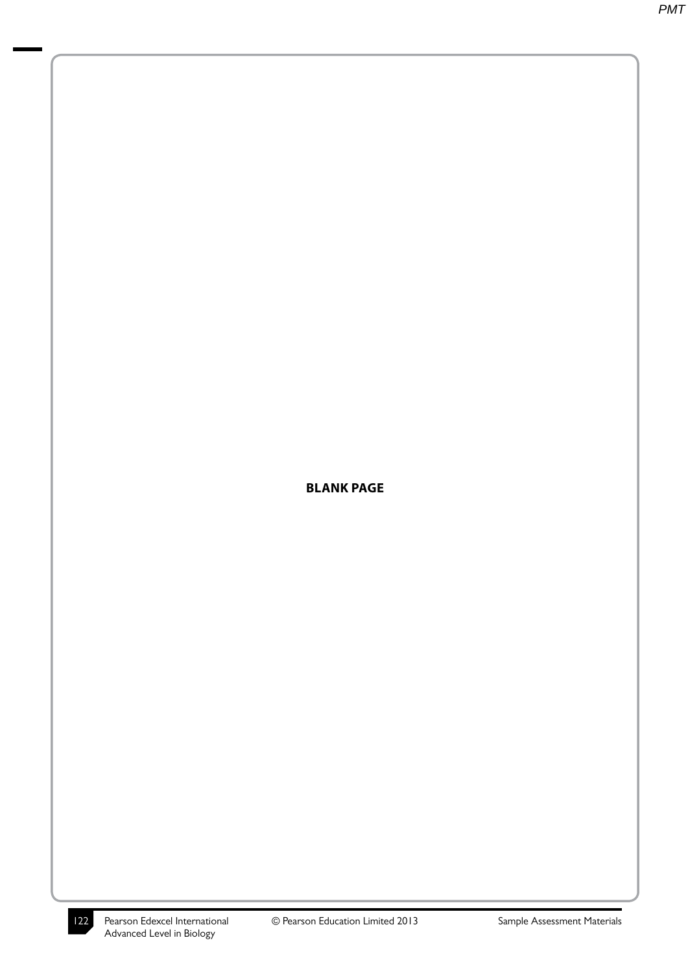### **BLANK PAGE**

 $\overline{122}$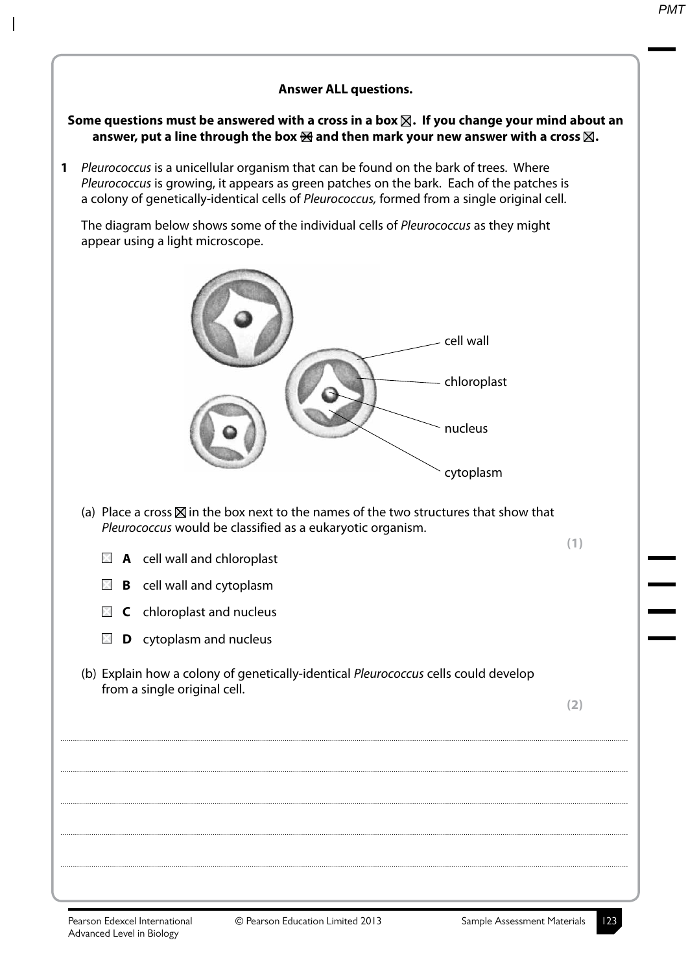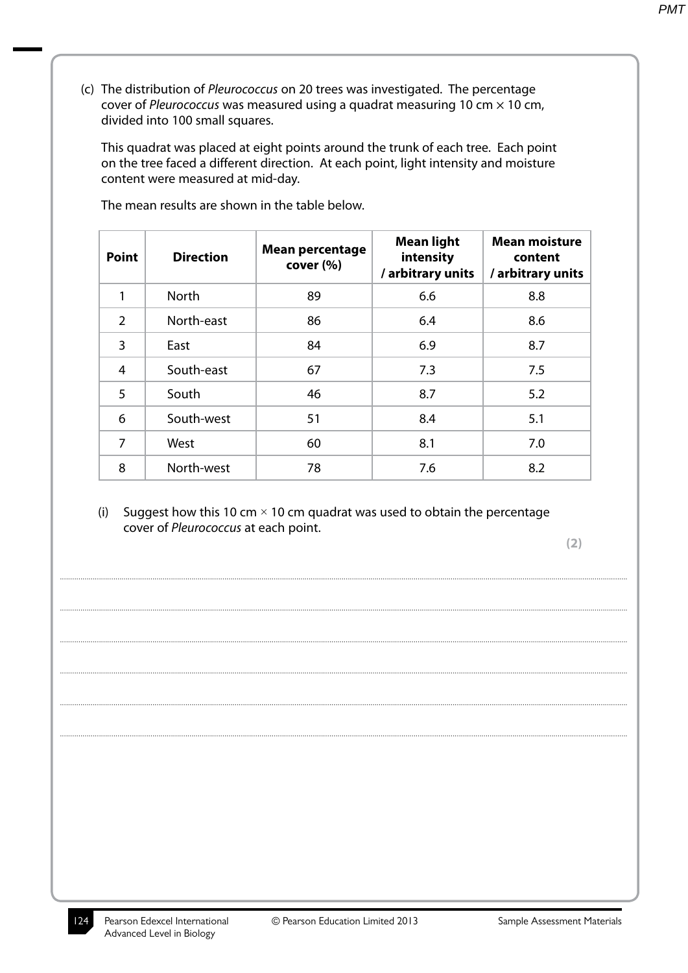(c) The distribution of Pleurococcus on 20 trees was investigated. The percentage cover of Pleurococcus was measured using a quadrat measuring 10 cm  $\times$  10 cm, divided into 100 small squares.

This quadrat was placed at eight points around the trunk of each tree. Each point on the tree faced a different direction. At each point, light intensity and moisture content were measured at mid-day.

| <b>Point</b>   | <b>Direction</b> | <b>Mean percentage</b><br>cover $(\% )$ | <b>Mean light</b><br>intensity<br>/ arbitrary units | <b>Mean moisture</b><br>content<br>/ arbitrary units |
|----------------|------------------|-----------------------------------------|-----------------------------------------------------|------------------------------------------------------|
| 1              | <b>North</b>     | 89                                      | 6.6                                                 | 8.8                                                  |
| $\overline{2}$ | North-east       | 86                                      | 6.4                                                 | 8.6                                                  |
| 3              | East             | 84                                      | 6.9                                                 | 8.7                                                  |
| $\overline{4}$ | South-east       | 67                                      | 7.3                                                 | 7.5                                                  |
| 5              | South            | 46                                      | 8.7                                                 | 5.2                                                  |
| 6              | South-west       | 51                                      | 8.4                                                 | 5.1                                                  |
| 7              | West             | 60                                      | 8.1                                                 | 7.0                                                  |
| 8              | North-west       | 78                                      | 7.6                                                 | 8.2                                                  |

The mean results are shown in the table below.

(i) Suggest how this 10 cm  $\times$  10 cm guadrat was used to obtain the percentage cover of Pleurococcus at each point.

 $(2)$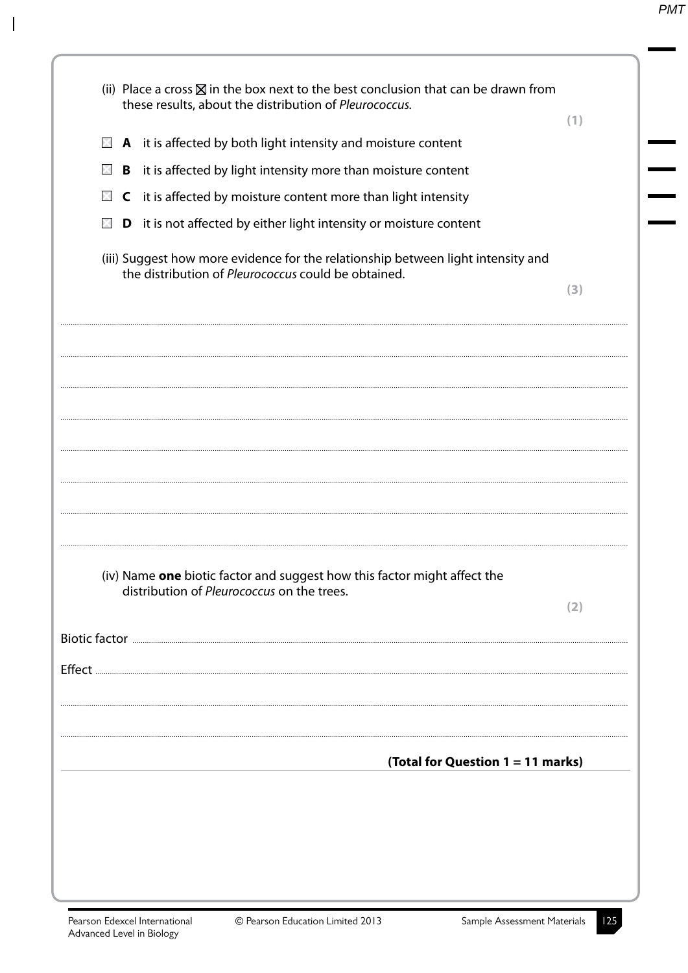| $\boxtimes$ B<br>$\boxtimes$<br>$\times$ | (ii) Place a cross $\boxtimes$ in the box next to the best conclusion that can be drawn from<br>these results, about the distribution of Pleurococcus.<br>$\blacksquare$ <b>A</b> it is affected by both light intensity and moisture content<br>it is affected by light intensity more than moisture content<br><b>C</b> it is affected by moisture content more than light intensity | (1) |
|------------------------------------------|----------------------------------------------------------------------------------------------------------------------------------------------------------------------------------------------------------------------------------------------------------------------------------------------------------------------------------------------------------------------------------------|-----|
|                                          | <b>D</b> it is not affected by either light intensity or moisture content<br>(iii) Suggest how more evidence for the relationship between light intensity and<br>the distribution of Pleurococcus could be obtained.                                                                                                                                                                   | (3) |
|                                          |                                                                                                                                                                                                                                                                                                                                                                                        |     |
|                                          |                                                                                                                                                                                                                                                                                                                                                                                        |     |
|                                          | (iv) Name one biotic factor and suggest how this factor might affect the<br>distribution of Pleurococcus on the trees.                                                                                                                                                                                                                                                                 | (2) |
|                                          |                                                                                                                                                                                                                                                                                                                                                                                        |     |
|                                          | (Total for Question 1 = 11 marks)                                                                                                                                                                                                                                                                                                                                                      |     |
|                                          |                                                                                                                                                                                                                                                                                                                                                                                        |     |
|                                          |                                                                                                                                                                                                                                                                                                                                                                                        |     |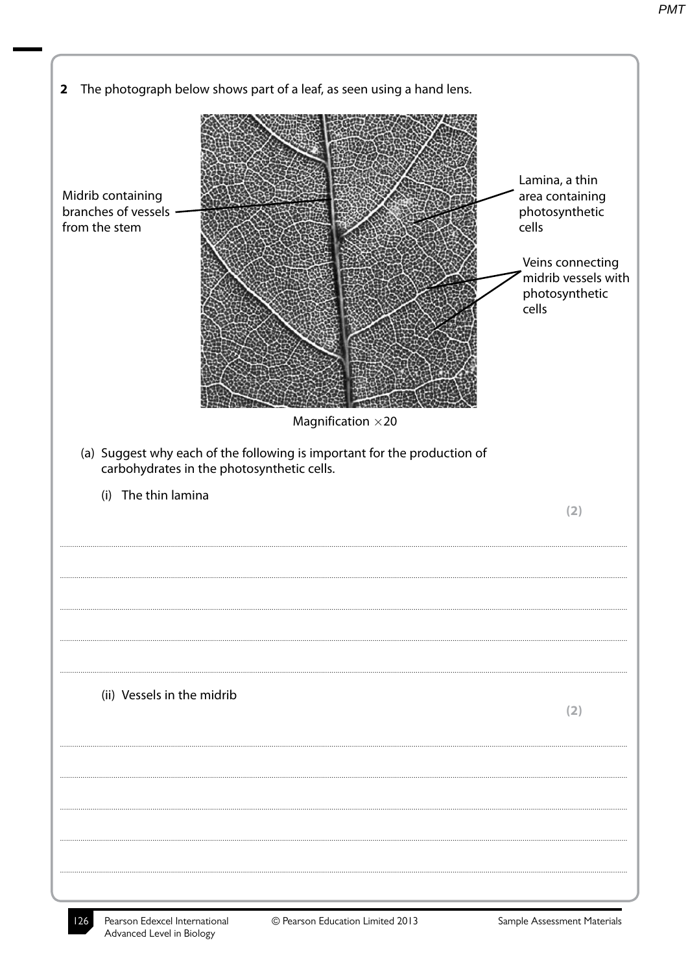

 $126$ 

**PMT**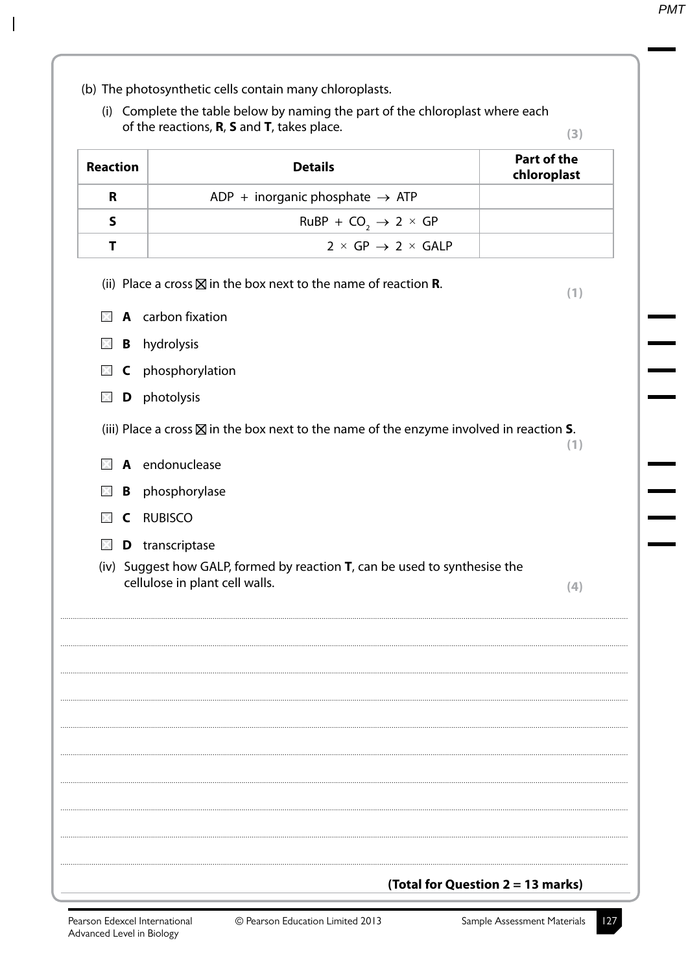$\blacksquare$ 

| <b>Reaction</b>     | Part of the<br>chloroplast                                                                                           |     |
|---------------------|----------------------------------------------------------------------------------------------------------------------|-----|
| R                   | ADP + inorganic phosphate $\rightarrow$ ATP                                                                          |     |
| S                   | $RuBP + CO2 \rightarrow 2 \times GP$                                                                                 |     |
| Τ                   | $2 \times GP \rightarrow 2 \times GALP$                                                                              |     |
|                     | (ii) Place a cross $\boxtimes$ in the box next to the name of reaction <b>R</b> .                                    | (1) |
| $\times$            | A carbon fixation                                                                                                    |     |
| $\times$<br>B       | hydrolysis                                                                                                           |     |
| $\times$<br>C       | phosphorylation                                                                                                      |     |
| $\mathbb X$<br>D    | photolysis                                                                                                           |     |
|                     | (iii) Place a cross $\boxtimes$ in the box next to the name of the enzyme involved in reaction S.                    | (1) |
| $>\frac{1}{2}$      | A endonuclease                                                                                                       |     |
| B<br>$>\frac{1}{2}$ | phosphorylase                                                                                                        |     |
| $\mathbb{X}$<br>C   | <b>RUBISCO</b>                                                                                                       |     |
| $\times$            | <b>D</b> transcriptase                                                                                               |     |
|                     | (iv) Suggest how GALP, formed by reaction <b>T</b> , can be used to synthesise the<br>cellulose in plant cell walls. | (4) |
|                     |                                                                                                                      |     |
|                     |                                                                                                                      |     |
|                     |                                                                                                                      |     |
|                     |                                                                                                                      |     |

#### Pearson Edexcel International Advanced Level in Biology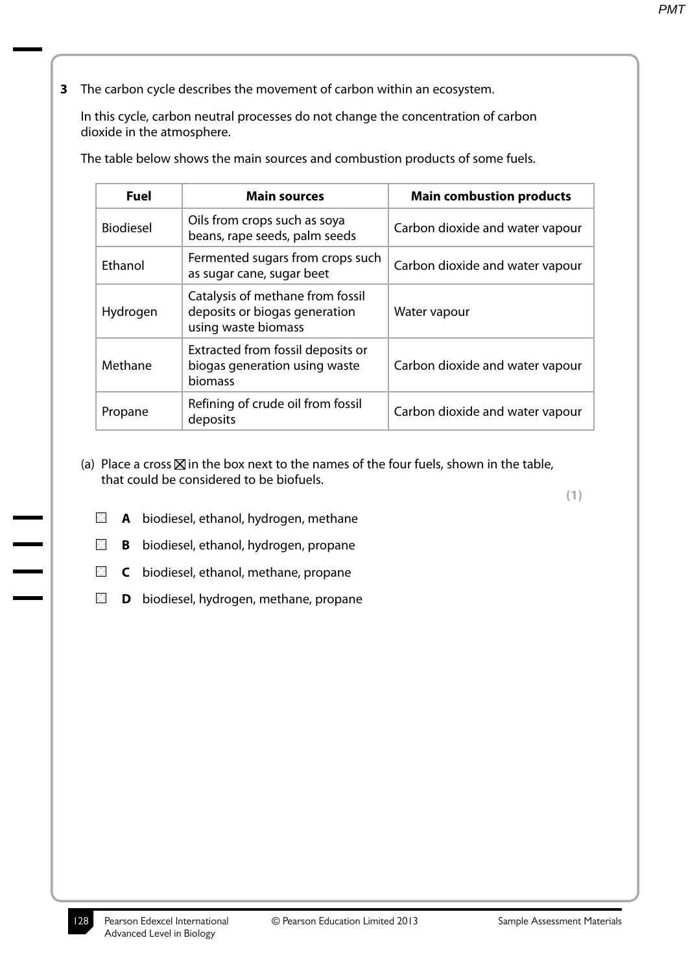3 The carbon cycle describes the movement of carbon within an ecosystem.

In this cycle, carbon neutral processes do not change the concentration of carbon dioxide in the atmosphere.

| <b>Fuel</b>      | <b>Main sources</b>                                                                      | <b>Main combustion products</b> |
|------------------|------------------------------------------------------------------------------------------|---------------------------------|
| <b>Biodiesel</b> | Oils from crops such as soya<br>beans, rape seeds, palm seeds                            | Carbon dioxide and water vapour |
| Ethanol          | Fermented sugars from crops such<br>as sugar cane, sugar beet                            | Carbon dioxide and water vapour |
| Hydrogen         | Catalysis of methane from fossil<br>deposits or biogas generation<br>using waste biomass | Water vapour                    |
| Methane          | Extracted from fossil deposits or<br>biogas generation using waste<br><b>biomass</b>     | Carbon dioxide and water vapour |
| Propane          | Refining of crude oil from fossil<br>deposits                                            | Carbon dioxide and water vapour |

The table below shows the main sources and combustion products of some fuels.

(a) Place a cross  $\boxtimes$  in the box next to the names of the four fuels, shown in the table, that could be considered to be biofuels.

 $(1)$ 

- $\times$ A biodiesel, ethanol, hydrogen, methane
- $\times$ **B** biodiesel, ethanol, hydrogen, propane
- $\mathbb{R}$ C biodiesel, ethanol, methane, propane
- $\boxtimes$ **D** biodiesel, hydrogen, methane, propane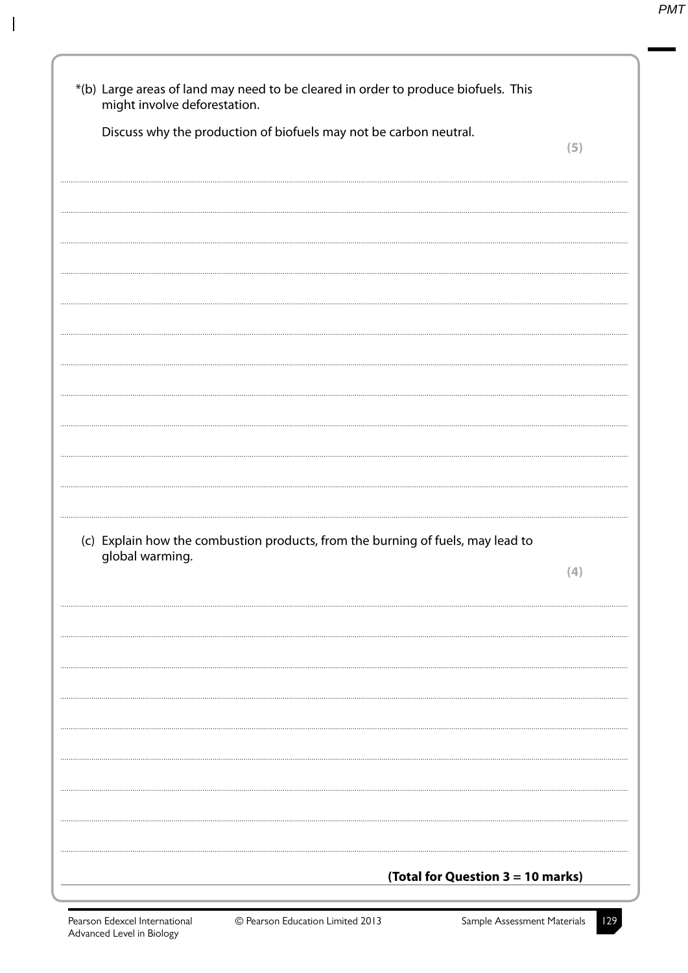| might involve deforestation.                                                                       |     |
|----------------------------------------------------------------------------------------------------|-----|
| Discuss why the production of biofuels may not be carbon neutral.                                  | (5) |
|                                                                                                    |     |
|                                                                                                    |     |
|                                                                                                    |     |
|                                                                                                    |     |
|                                                                                                    |     |
|                                                                                                    |     |
|                                                                                                    |     |
|                                                                                                    |     |
|                                                                                                    |     |
|                                                                                                    |     |
|                                                                                                    |     |
|                                                                                                    |     |
|                                                                                                    |     |
|                                                                                                    |     |
|                                                                                                    |     |
|                                                                                                    |     |
| (c) Explain how the combustion products, from the burning of fuels, may lead to<br>global warming. |     |
|                                                                                                    | (4) |
|                                                                                                    |     |
|                                                                                                    |     |
|                                                                                                    |     |
|                                                                                                    |     |
|                                                                                                    |     |
|                                                                                                    |     |
|                                                                                                    |     |
|                                                                                                    |     |
|                                                                                                    |     |
|                                                                                                    |     |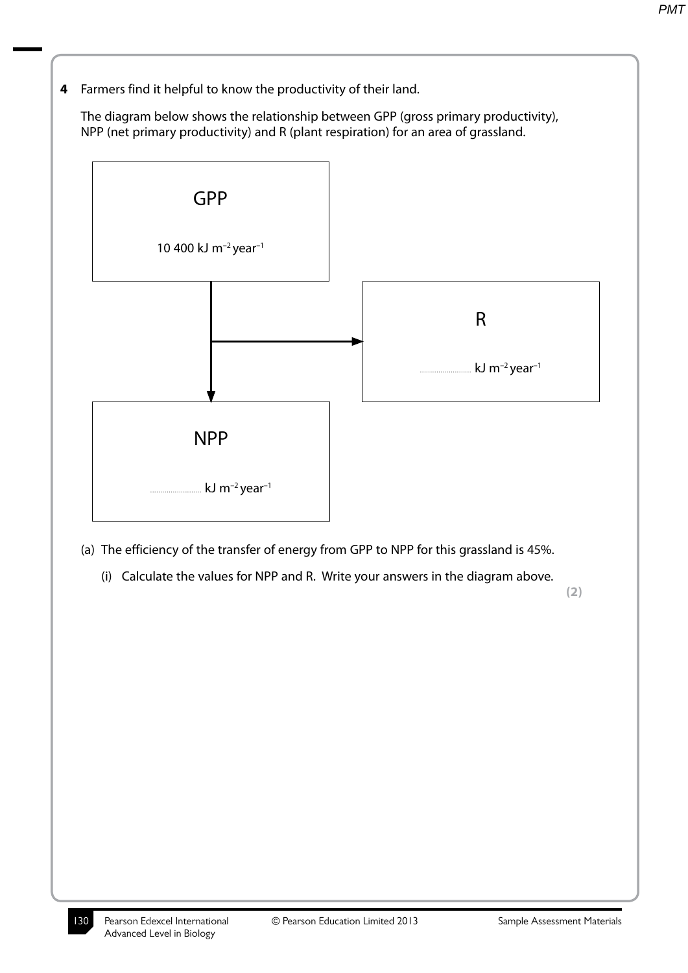4 Farmers find it helpful to know the productivity of their land.

The diagram below shows the relationship between GPP (gross primary productivity), NPP (net primary productivity) and R (plant respiration) for an area of grassland.



- (a) The efficiency of the transfer of energy from GPP to NPP for this grassland is 45%.
	- (i) Calculate the values for NPP and R. Write your answers in the diagram above.

 $(2)$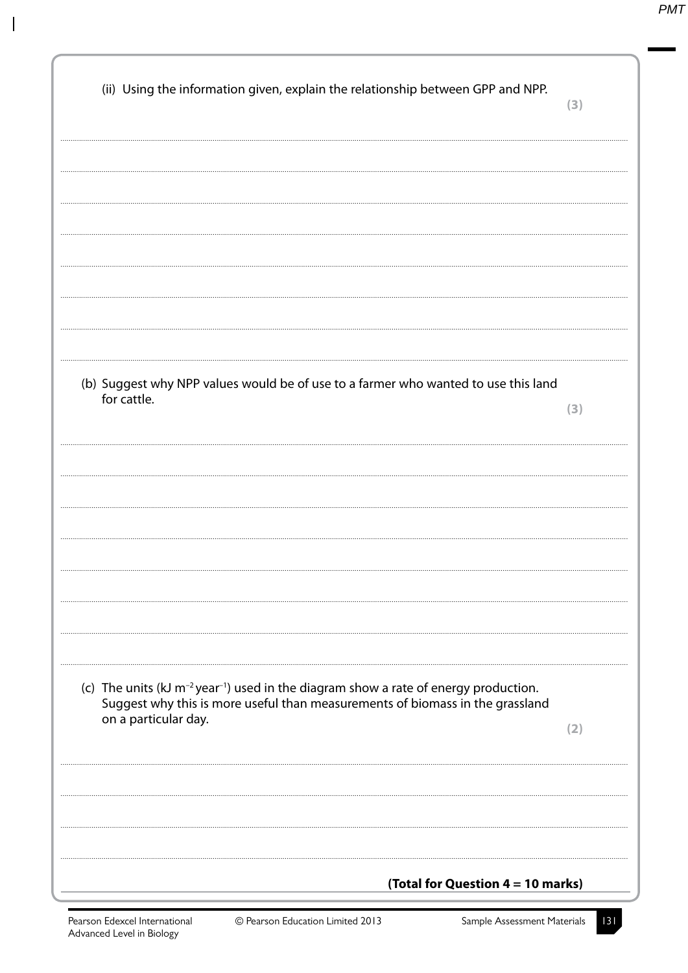| (ii) Using the information given, explain the relationship between GPP and NPP.                                                                                                                              | (3) |
|--------------------------------------------------------------------------------------------------------------------------------------------------------------------------------------------------------------|-----|
|                                                                                                                                                                                                              |     |
|                                                                                                                                                                                                              |     |
|                                                                                                                                                                                                              |     |
|                                                                                                                                                                                                              |     |
| (b) Suggest why NPP values would be of use to a farmer who wanted to use this land<br>for cattle.                                                                                                            | (3) |
|                                                                                                                                                                                                              |     |
|                                                                                                                                                                                                              |     |
|                                                                                                                                                                                                              |     |
|                                                                                                                                                                                                              |     |
| (c) The units ( $kJ \, m^{-2} \, year^{-1}$ ) used in the diagram show a rate of energy production.<br>Suggest why this is more useful than measurements of biomass in the grassland<br>on a particular day. | (2) |
|                                                                                                                                                                                                              |     |
| (Total for Question 4 = 10 marks)                                                                                                                                                                            |     |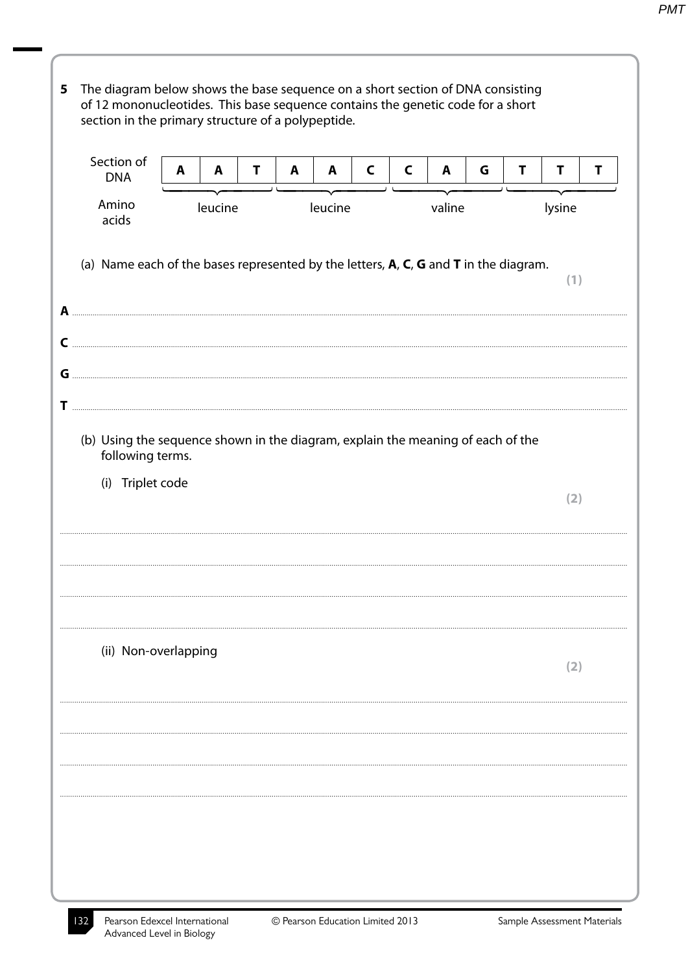| 5              | The diagram below shows the base sequence on a short section of DNA consisting<br>of 12 mononucleotides. This base sequence contains the genetic code for a short<br>section in the primary structure of a polypeptide. |   |         |   |   |         |   |              |        |   |   |        |   |
|----------------|-------------------------------------------------------------------------------------------------------------------------------------------------------------------------------------------------------------------------|---|---------|---|---|---------|---|--------------|--------|---|---|--------|---|
|                | Section of<br><b>DNA</b>                                                                                                                                                                                                | A | A       | T | A | A       | C | $\mathsf{C}$ | A      | G | Τ | Τ      | Т |
|                | Amino<br>acids                                                                                                                                                                                                          |   | leucine |   |   | leucine |   |              | valine |   |   | lysine |   |
| $\mathbf{A}$ . | (a) Name each of the bases represented by the letters, $A$ , $C$ , $G$ and $T$ in the diagram.                                                                                                                          |   |         |   |   |         |   |              |        |   |   | (1)    |   |
| G              |                                                                                                                                                                                                                         |   |         |   |   |         |   |              |        |   |   |        |   |
| Τ              |                                                                                                                                                                                                                         |   |         |   |   |         |   |              |        |   |   |        |   |
|                | (b) Using the sequence shown in the diagram, explain the meaning of each of the<br>following terms.<br>(i) Triplet code                                                                                                 |   |         |   |   |         |   |              |        |   |   | (2)    |   |
|                |                                                                                                                                                                                                                         |   |         |   |   |         |   |              |        |   |   |        |   |
|                |                                                                                                                                                                                                                         |   |         |   |   |         |   |              |        |   |   |        |   |
|                |                                                                                                                                                                                                                         |   |         |   |   |         |   |              |        |   |   |        |   |
|                | (ii) Non-overlapping                                                                                                                                                                                                    |   |         |   |   |         |   |              |        |   |   | (2)    |   |
|                |                                                                                                                                                                                                                         |   |         |   |   |         |   |              |        |   |   |        |   |
|                |                                                                                                                                                                                                                         |   |         |   |   |         |   |              |        |   |   |        |   |
|                |                                                                                                                                                                                                                         |   |         |   |   |         |   |              |        |   |   |        |   |
|                |                                                                                                                                                                                                                         |   |         |   |   |         |   |              |        |   |   |        |   |
|                |                                                                                                                                                                                                                         |   |         |   |   |         |   |              |        |   |   |        |   |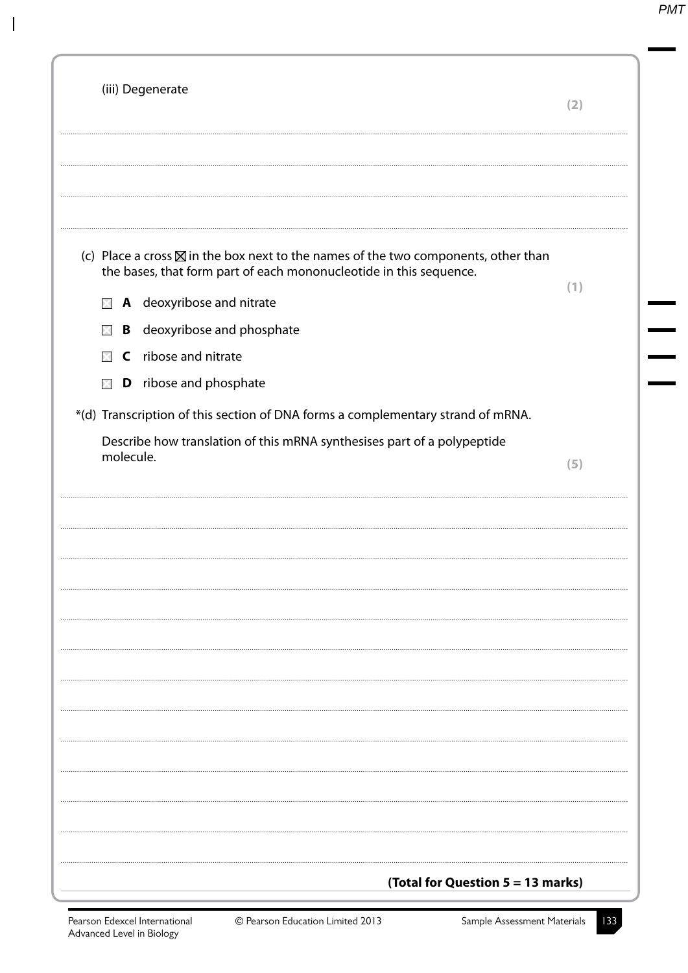**PMT** 

 $\blacksquare$ 

| (iii) Degenerate                                                                                                                                                                                                                                             | (2) |
|--------------------------------------------------------------------------------------------------------------------------------------------------------------------------------------------------------------------------------------------------------------|-----|
| (c) Place a cross $\boxtimes$ in the box next to the names of the two components, other than<br>the bases, that form part of each mononucleotide in this sequence.<br>A deoxyribose and nitrate<br>$\times$<br><b>B</b> deoxyribose and phosphate<br>$>\sum$ | (1) |
| <b>C</b> ribose and nitrate<br>$>\frac{1}{2}$<br><b>D</b> ribose and phosphate<br>*(d) Transcription of this section of DNA forms a complementary strand of mRNA.<br>Describe how translation of this mRNA synthesises part of a polypeptide<br>molecule.    | (5) |
|                                                                                                                                                                                                                                                              |     |
|                                                                                                                                                                                                                                                              |     |
|                                                                                                                                                                                                                                                              |     |
| (Total for Question 5 = 13 marks)                                                                                                                                                                                                                            |     |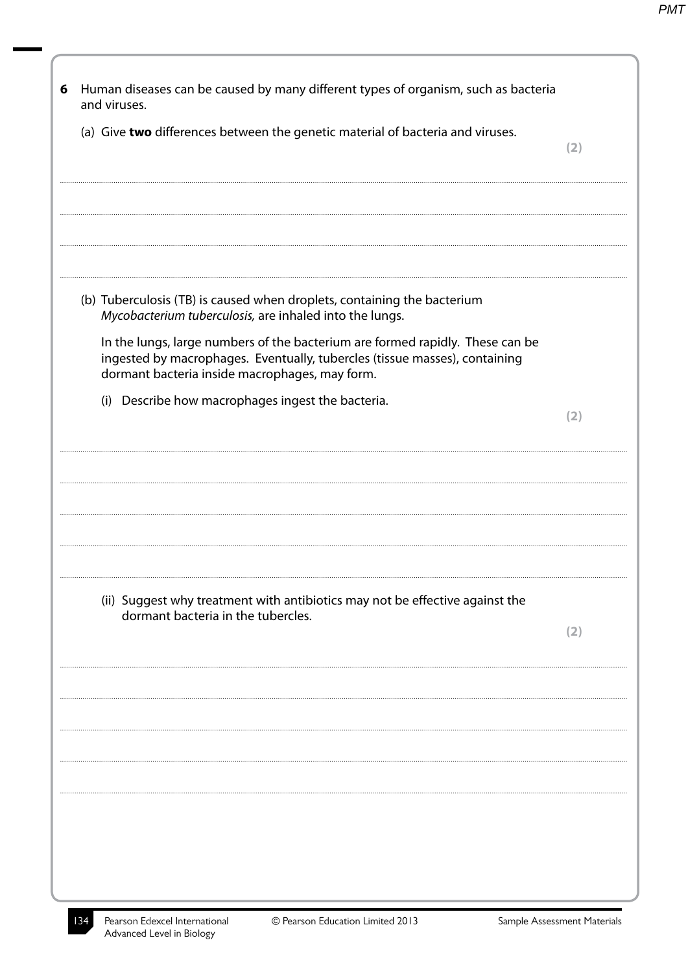| 6 | Human diseases can be caused by many different types of organism, such as bacteria<br>and viruses.                                                                                                            |     |  |  |  |  |  |
|---|---------------------------------------------------------------------------------------------------------------------------------------------------------------------------------------------------------------|-----|--|--|--|--|--|
|   | (a) Give two differences between the genetic material of bacteria and viruses.                                                                                                                                | (2) |  |  |  |  |  |
|   |                                                                                                                                                                                                               |     |  |  |  |  |  |
|   |                                                                                                                                                                                                               |     |  |  |  |  |  |
|   | (b) Tuberculosis (TB) is caused when droplets, containing the bacterium<br>Mycobacterium tuberculosis, are inhaled into the lungs.                                                                            |     |  |  |  |  |  |
|   | In the lungs, large numbers of the bacterium are formed rapidly. These can be<br>ingested by macrophages. Eventually, tubercles (tissue masses), containing<br>dormant bacteria inside macrophages, may form. |     |  |  |  |  |  |
|   | (i) Describe how macrophages ingest the bacteria.                                                                                                                                                             | (2) |  |  |  |  |  |
|   |                                                                                                                                                                                                               |     |  |  |  |  |  |
|   |                                                                                                                                                                                                               |     |  |  |  |  |  |
|   |                                                                                                                                                                                                               |     |  |  |  |  |  |
|   | (ii) Suggest why treatment with antibiotics may not be effective against the<br>dormant bacteria in the tubercles.                                                                                            |     |  |  |  |  |  |
|   |                                                                                                                                                                                                               | (2) |  |  |  |  |  |
|   |                                                                                                                                                                                                               |     |  |  |  |  |  |
|   |                                                                                                                                                                                                               |     |  |  |  |  |  |
|   |                                                                                                                                                                                                               |     |  |  |  |  |  |
|   |                                                                                                                                                                                                               |     |  |  |  |  |  |
|   |                                                                                                                                                                                                               |     |  |  |  |  |  |
|   |                                                                                                                                                                                                               |     |  |  |  |  |  |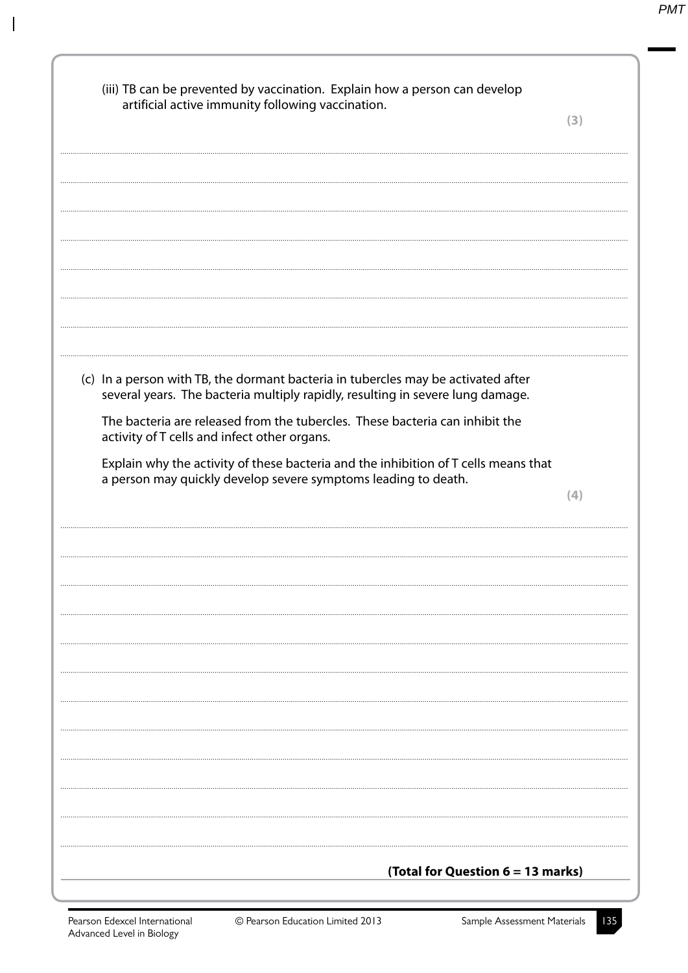| (iii) TB can be prevented by vaccination. Explain how a person can develop<br>artificial active immunity following vaccination.                                     | (3) |
|---------------------------------------------------------------------------------------------------------------------------------------------------------------------|-----|
|                                                                                                                                                                     |     |
|                                                                                                                                                                     |     |
|                                                                                                                                                                     |     |
|                                                                                                                                                                     |     |
|                                                                                                                                                                     |     |
| (c) In a person with TB, the dormant bacteria in tubercles may be activated after<br>several years. The bacteria multiply rapidly, resulting in severe lung damage. |     |
| The bacteria are released from the tubercles. These bacteria can inhibit the<br>activity of T cells and infect other organs.                                        |     |
| Explain why the activity of these bacteria and the inhibition of T cells means that<br>a person may quickly develop severe symptoms leading to death.               | (4) |
|                                                                                                                                                                     |     |
|                                                                                                                                                                     |     |
|                                                                                                                                                                     |     |
|                                                                                                                                                                     |     |
|                                                                                                                                                                     |     |
|                                                                                                                                                                     |     |
|                                                                                                                                                                     |     |
|                                                                                                                                                                     |     |
|                                                                                                                                                                     |     |
| (Total for Question 6 = 13 marks)                                                                                                                                   |     |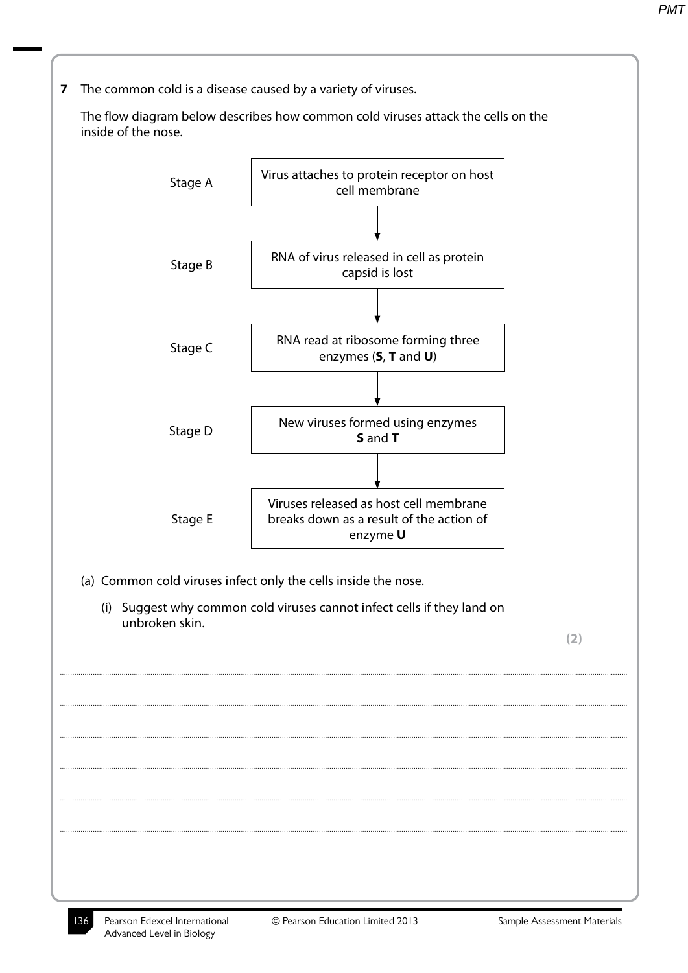The common cold is a disease caused by a variety of viruses.  $\overline{\mathbf{z}}$ 

The flow diagram below describes how common cold viruses attack the cells on the inside of the nose.



136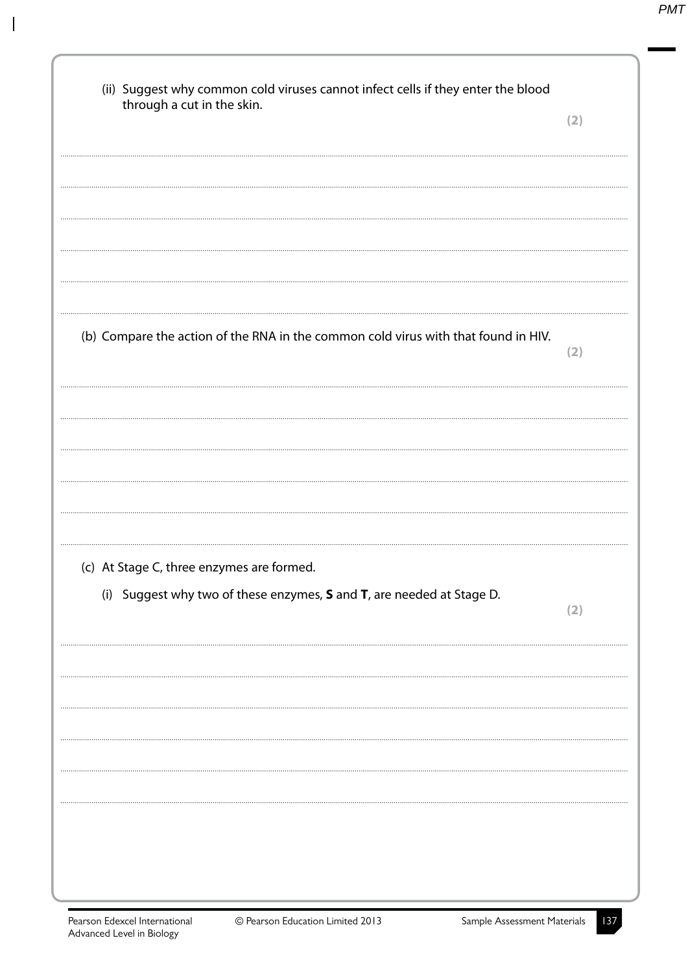(ii) Suggest why common cold viruses cannot infect cells if they enter the blood through a cut in the skin.  $(2)$ (b) Compare the action of the RNA in the common cold virus with that found in HIV.  $(2)$ (c) At Stage C, three enzymes are formed. (i) Suggest why two of these enzymes, S and T, are needed at Stage D.  $(2)$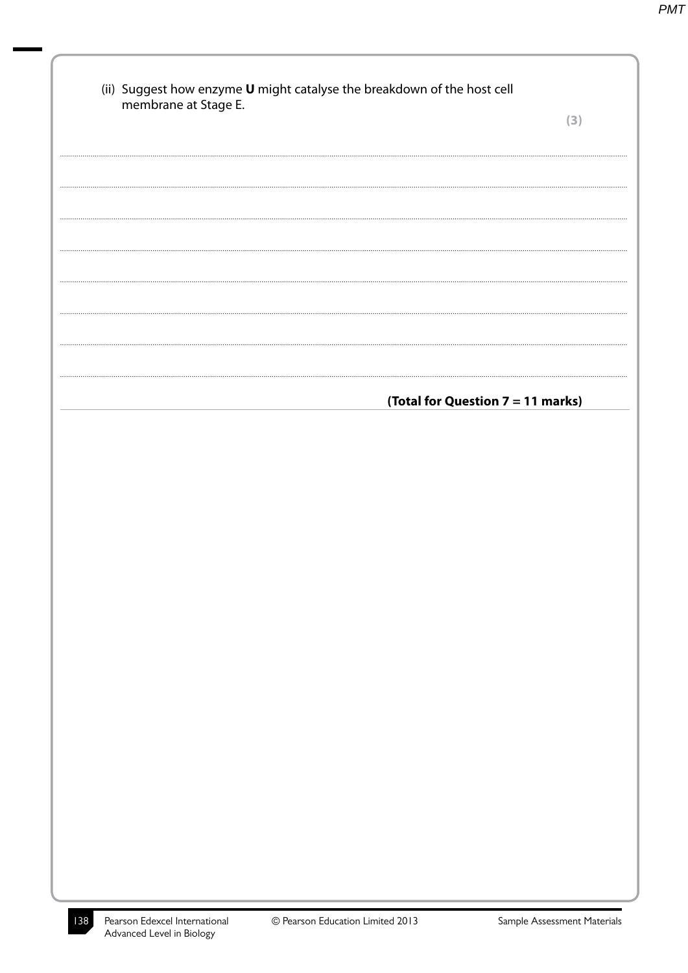| membrane at Stage E. |                                   | (3) |
|----------------------|-----------------------------------|-----|
|                      |                                   |     |
|                      |                                   |     |
|                      |                                   |     |
|                      |                                   |     |
|                      |                                   |     |
|                      |                                   |     |
|                      |                                   |     |
|                      |                                   |     |
|                      |                                   |     |
|                      |                                   |     |
|                      |                                   |     |
|                      | (Total for Question 7 = 11 marks) |     |
|                      |                                   |     |
|                      |                                   |     |
|                      |                                   |     |
|                      |                                   |     |
|                      |                                   |     |
|                      |                                   |     |
|                      |                                   |     |
|                      |                                   |     |
|                      |                                   |     |
|                      |                                   |     |
|                      |                                   |     |
|                      |                                   |     |
|                      |                                   |     |
|                      |                                   |     |
|                      |                                   |     |
|                      |                                   |     |
|                      |                                   |     |
|                      |                                   |     |
|                      |                                   |     |
|                      |                                   |     |
|                      |                                   |     |

 $\sqrt{2}$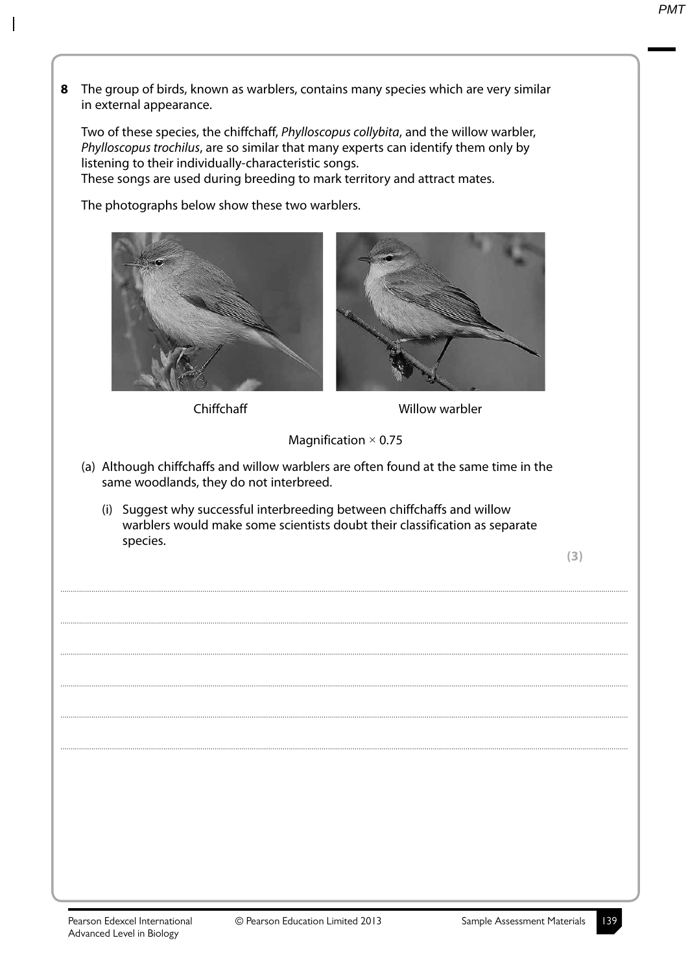8 The group of birds, known as warblers, contains many species which are very similar in external appearance.

Two of these species, the chiffchaff, Phylloscopus collybita, and the willow warbler, Phylloscopus trochilus, are so similar that many experts can identify them only by listening to their individually-characteristic songs.

These songs are used during breeding to mark territory and attract mates.

The photographs below show these two warblers.



Chiffchaff

Willow warbler

Magnification  $\times$  0.75

- (a) Although chiffchaffs and willow warblers are often found at the same time in the same woodlands, they do not interbreed.
	- (i) Suggest why successful interbreeding between chiffchaffs and willow warblers would make some scientists doubt their classification as separate species.

 $(3)$